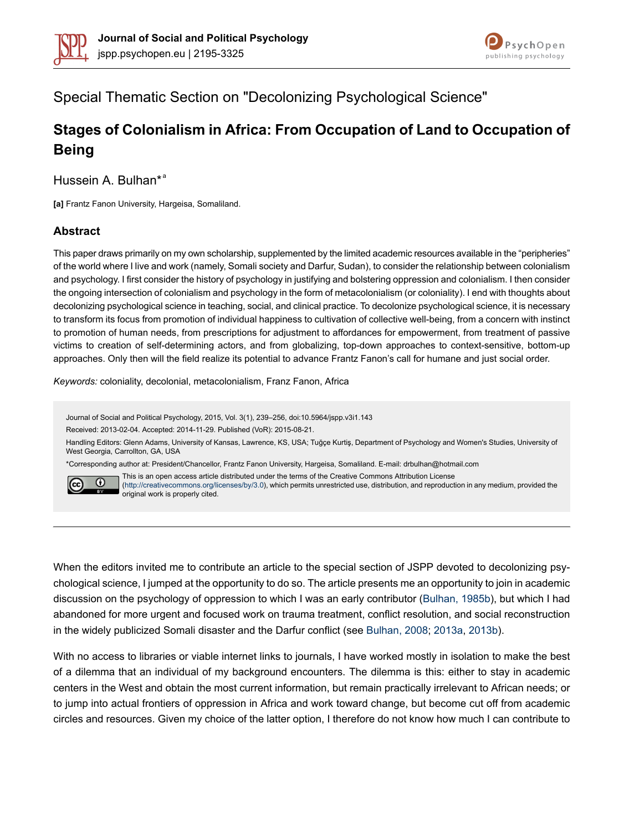



# Special Thematic Section on "Decolonizing Psychological Science"

# **Stages of Colonialism in Africa: From Occupation of Land to Occupation of Being**

Hussein A. Bulhan\*<sup>a</sup>

**[a]** Frantz Fanon University, Hargeisa, Somaliland.

#### **Abstract**

This paper draws primarily on my own scholarship, supplemented by the limited academic resources available in the "peripheries" of the world where I live and work (namely, Somali society and Darfur, Sudan), to consider the relationship between colonialism and psychology. I first consider the history of psychology in justifying and bolstering oppression and colonialism. I then consider the ongoing intersection of colonialism and psychology in the form of metacolonialism (or coloniality). I end with thoughts about decolonizing psychological science in teaching, social, and clinical practice. To decolonize psychological science, it is necessary to transform its focus from promotion of individual happiness to cultivation of collective well-being, from a concern with instinct to promotion of human needs, from prescriptions for adjustment to affordances for empowerment, from treatment of passive victims to creation of self-determining actors, and from globalizing, top-down approaches to context-sensitive, bottom-up approaches. Only then will the field realize its potential to advance Frantz Fanon's call for humane and just social order.

*Keywords:* coloniality, decolonial, metacolonialism, Franz Fanon, Africa

Journal of Social and Political Psychology, 2015, Vol. 3(1), 239–256, doi:10.5964/jspp.v3i1.143

Received: 2013-02-04. Accepted: 2014-11-29. Published (VoR): 2015-08-21.

Handling Editors: Glenn Adams, University of Kansas, Lawrence, KS, USA; Tuğçe Kurtiş, Department of Psychology and Women's Studies, University of West Georgia, Carrollton, GA, USA

\*Corresponding author at: President/Chancellor, Frantz Fanon University, Hargeisa, Somaliland. E-mail: drbulhan@hotmail.com



This is an open access article distributed under the terms of the Creative Commons Attribution License [\(http://creativecommons.org/licenses/by/3.0\)](http://creativecommons.org/licenses/by/3.0), which permits unrestricted use, distribution, and reproduction in any medium, provided the original work is properly cited.

When the editors invited me to contribute an article to the special section of JSPP devoted to decolonizing psychological science, I jumped at the opportunity to do so. The article presents me an opportunity to join in academic discussion on the psychology of oppression to which I was an early contributor ([Bulhan,](#page-15-0) 1985b), but which I had abandoned for more urgent and focused work on trauma treatment, conflict resolution, and social reconstruction in the widely publicized Somali disaster and the Darfur conflict (see [Bulhan,](#page-15-1) 2008; [2013a](#page-15-2), [2013b](#page-15-3)).

With no access to libraries or viable internet links to journals, I have worked mostly in isolation to make the best of a dilemma that an individual of my background encounters. The dilemma is this: either to stay in academic centers in the West and obtain the most current information, but remain practically irrelevant to African needs; or to jump into actual frontiers of oppression in Africa and work toward change, but become cut off from academic circles and resources. Given my choice of the latter option, I therefore do not know how much I can contribute to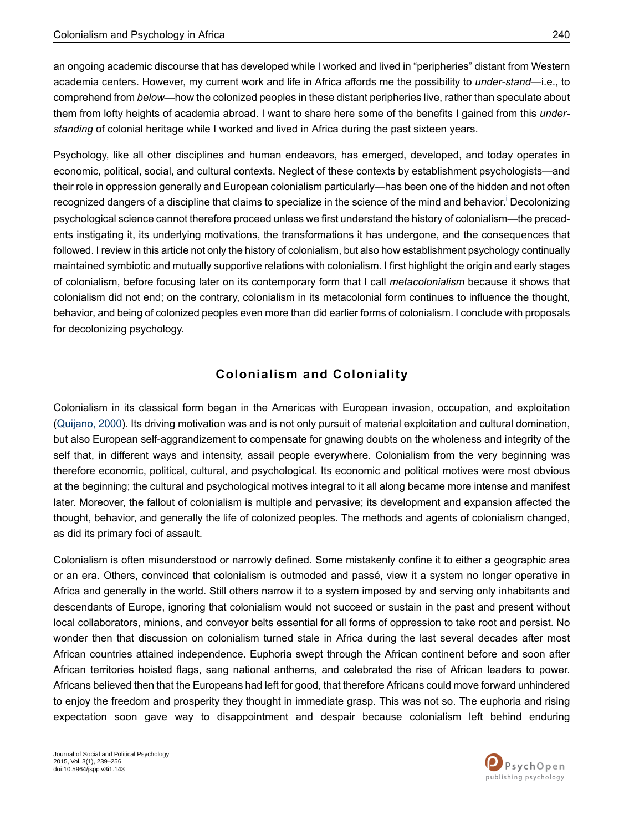an ongoing academic discourse that has developed while I worked and lived in "peripheries" distant from Western academia centers. However, my current work and life in Africa affords me the possibility to *under-stand*—i.e., to comprehend from *below*—how the colonized peoples in these distant peripheries live, rather than speculate about them from lofty heights of academia abroad. I want to share here some of the benefits I gained from this *understanding* of colonial heritage while I worked and lived in Africa during the past sixteen years.

Psychology, like all other disciplines and human endeavors, has emerged, developed, and today operates in economic, political, social, and cultural contexts. Neglect of these contexts by establishment psychologists—and their role in oppression generally and European colonialism particularly—has been one of the hidden and not often recogn[i](#page-14-0)zed dangers of a discipline that claims to specialize in the science of the mind and behavior.<sup>i</sup> Decolonizing psychological science cannot therefore proceed unless we first understand the history of colonialism—the precedents instigating it, its underlying motivations, the transformations it has undergone, and the consequences that followed. I review in this article not only the history of colonialism, but also how establishment psychology continually maintained symbiotic and mutually supportive relations with colonialism. I first highlight the origin and early stages of colonialism, before focusing later on its contemporary form that I call *metacolonialism* because it shows that colonialism did not end; on the contrary, colonialism in its metacolonial form continues to influence the thought, behavior, and being of colonized peoples even more than did earlier forms of colonialism. I conclude with proposals for decolonizing psychology.

# **Colonialism and Coloniality**

Colonialism in its classical form began in the Americas with European invasion, occupation, and exploitation [\(Quijano,](#page-16-0) 2000). Its driving motivation was and is not only pursuit of material exploitation and cultural domination, but also European self-aggrandizement to compensate for gnawing doubts on the wholeness and integrity of the self that, in different ways and intensity, assail people everywhere. Colonialism from the very beginning was therefore economic, political, cultural, and psychological. Its economic and political motives were most obvious at the beginning; the cultural and psychological motives integral to it all along became more intense and manifest later. Moreover, the fallout of colonialism is multiple and pervasive; its development and expansion affected the thought, behavior, and generally the life of colonized peoples. The methods and agents of colonialism changed, as did its primary foci of assault.

Colonialism is often misunderstood or narrowly defined. Some mistakenly confine it to either a geographic area or an era. Others, convinced that colonialism is outmoded and passé, view it a system no longer operative in Africa and generally in the world. Still others narrow it to a system imposed by and serving only inhabitants and descendants of Europe, ignoring that colonialism would not succeed or sustain in the past and present without local collaborators, minions, and conveyor belts essential for all forms of oppression to take root and persist. No wonder then that discussion on colonialism turned stale in Africa during the last several decades after most African countries attained independence. Euphoria swept through the African continent before and soon after African territories hoisted flags, sang national anthems, and celebrated the rise of African leaders to power. Africans believed then that the Europeans had left for good, that therefore Africans could move forward unhindered to enjoy the freedom and prosperity they thought in immediate grasp. This was not so. The euphoria and rising expectation soon gave way to disappointment and despair because colonialism left behind enduring

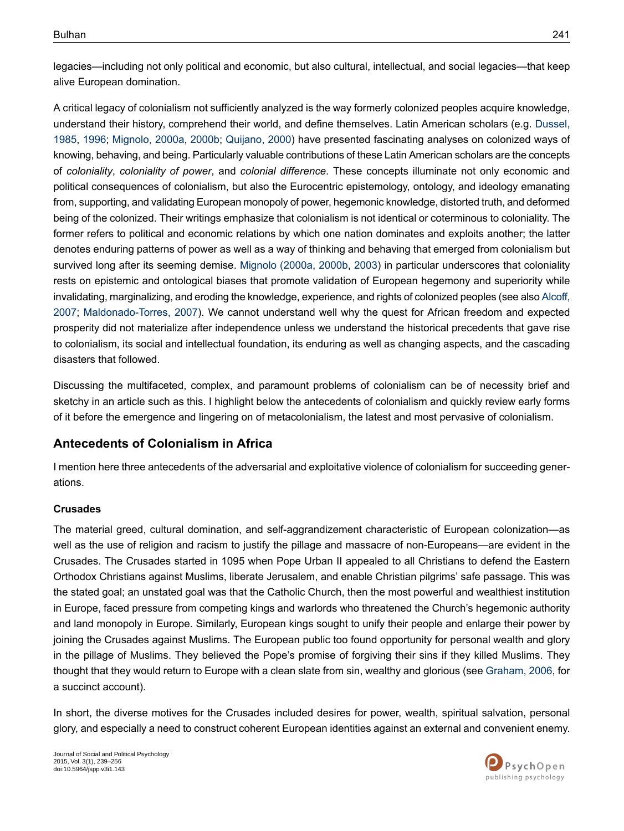legacies—including not only political and economic, but also cultural, intellectual, and social legacies—that keep alive European domination.

A critical legacy of colonialism not sufficiently analyzed is the way formerly colonized peoples acquire knowledge, understand their history, comprehend their world, and define themselves. Latin American scholars (e.g. [Dussel,](#page-16-1) [1985](#page-16-1), [1996](#page-16-2); [Mignolo,](#page-16-3) 2000a, [2000b;](#page-16-4) [Quijano,](#page-16-0) 2000) have presented fascinating analyses on colonized ways of knowing, behaving, and being. Particularly valuable contributions of these Latin American scholars are the concepts of *coloniality*, *coloniality of power*, and *colonial difference*. These concepts illuminate not only economic and political consequences of colonialism, but also the Eurocentric epistemology, ontology, and ideology emanating from, supporting, and validating European monopoly of power, hegemonic knowledge, distorted truth, and deformed being of the colonized. Their writings emphasize that colonialism is not identical or coterminous to coloniality. The former refers to political and economic relations by which one nation dominates and exploits another; the latter denotes enduring patterns of power as well as a way of thinking and behaving that emerged from colonialism but survived long after its seeming demise. [Mignolo](#page-16-3) (2000a, [2000b](#page-16-4), [2003](#page-16-5)) in particular underscores that coloniality rests on epistemic and ontological biases that promote validation of European hegemony and superiority while invalidating, marginalizing, and eroding the knowledge, experience, and rights of colonized peoples (see also [Alcoff,](#page-15-4) [2007](#page-15-4); [Maldonado-Torres,](#page-16-6) 2007). We cannot understand well why the quest for African freedom and expected prosperity did not materialize after independence unless we understand the historical precedents that gave rise to colonialism, its social and intellectual foundation, its enduring as well as changing aspects, and the cascading disasters that followed.

Discussing the multifaceted, complex, and paramount problems of colonialism can be of necessity brief and sketchy in an article such as this. I highlight below the antecedents of colonialism and quickly review early forms of it before the emergence and lingering on of metacolonialism, the latest and most pervasive of colonialism.

## **Antecedents of Colonialism in Africa**

I mention here three antecedents of the adversarial and exploitative violence of colonialism for succeeding generations.

#### **Crusades**

The material greed, cultural domination, and self-aggrandizement characteristic of European colonization—as well as the use of religion and racism to justify the pillage and massacre of non-Europeans—are evident in the Crusades. The Crusades started in 1095 when Pope Urban II appealed to all Christians to defend the Eastern Orthodox Christians against Muslims, liberate Jerusalem, and enable Christian pilgrims' safe passage. This was the stated goal; an unstated goal was that the Catholic Church, then the most powerful and wealthiest institution in Europe, faced pressure from competing kings and warlords who threatened the Church's hegemonic authority and land monopoly in Europe. Similarly, European kings sought to unify their people and enlarge their power by joining the Crusades against Muslims. The European public too found opportunity for personal wealth and glory in the pillage of Muslims. They believed the Pope's promise of forgiving their sins if they killed Muslims. They thought that they would return to Europe with a clean slate from sin, wealthy and glorious (see [Graham,](#page-16-7) 2006, for a succinct account).

In short, the diverse motives for the Crusades included desires for power, wealth, spiritual salvation, personal glory, and especially a need to construct coherent European identities against an external and convenient enemy.

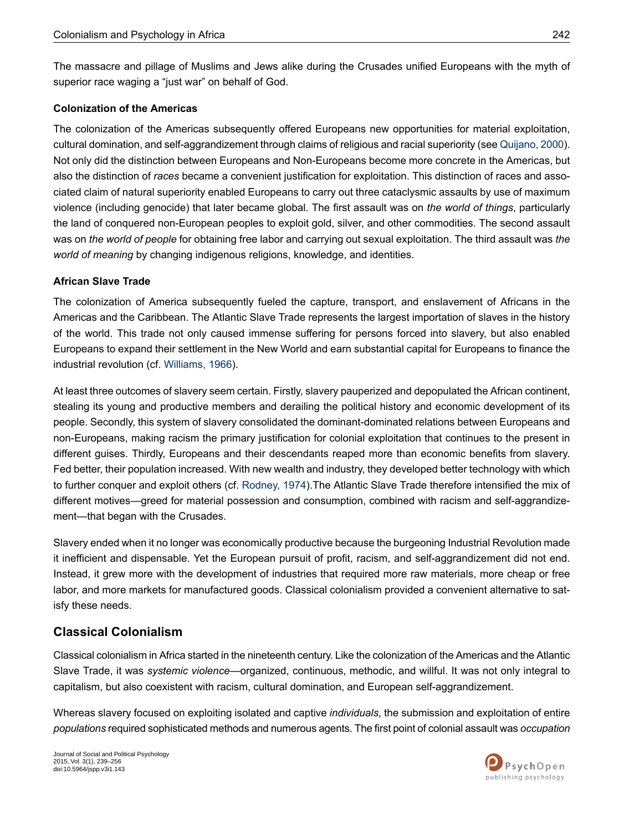The massacre and pillage of Muslims and Jews alike during the Crusades unified Europeans with the myth of superior race waging a "just war" on behalf of God.

#### **Colonization of the Americas**

The colonization of the Americas subsequently offered Europeans new opportunities for material exploitation, cultural domination, and self-aggrandizement through claims of religious and racial superiority (see [Quijano,](#page-16-0) 2000). Not only did the distinction between Europeans and Non-Europeans become more concrete in the Americas, but also the distinction of *races* became a convenient justification for exploitation. This distinction of races and associated claim of natural superiority enabled Europeans to carry out three cataclysmic assaults by use of maximum violence (including genocide) that later became global. The first assault was on *the world of things*, particularly the land of conquered non-European peoples to exploit gold, silver, and other commodities. The second assault was on *the world of people* for obtaining free labor and carrying out sexual exploitation. The third assault was *the world of meaning* by changing indigenous religions, knowledge, and identities.

#### **African Slave Trade**

The colonization of America subsequently fueled the capture, transport, and enslavement of Africans in the Americas and the Caribbean. The Atlantic Slave Trade represents the largest importation of slaves in the history of the world. This trade not only caused immense suffering for persons forced into slavery, but also enabled Europeans to expand their settlement in the New World and earn substantial capital for Europeans to finance the industrial revolution (cf. [Williams,](#page-17-0) 1966).

At least three outcomes of slavery seem certain. Firstly, slavery pauperized and depopulated the African continent, stealing its young and productive members and derailing the political history and economic development of its people. Secondly, this system of slavery consolidated the dominant-dominated relations between Europeans and non-Europeans, making racism the primary justification for colonial exploitation that continues to the present in different guises. Thirdly, Europeans and their descendants reaped more than economic benefits from slavery. Fed better, their population increased. With new wealth and industry, they developed better technology with which to further conquer and exploit others (cf. [Rodney,](#page-16-8) 1974).The Atlantic Slave Trade therefore intensified the mix of different motives—greed for material possession and consumption, combined with racism and self-aggrandizement—that began with the Crusades.

Slavery ended when it no longer was economically productive because the burgeoning Industrial Revolution made it inefficient and dispensable. Yet the European pursuit of profit, racism, and self-aggrandizement did not end. Instead, it grew more with the development of industries that required more raw materials, more cheap or free labor, and more markets for manufactured goods. Classical colonialism provided a convenient alternative to satisfy these needs.

#### **Classical Colonialism**

Classical colonialism in Africa started in the nineteenth century. Like the colonization of the Americas and the Atlantic Slave Trade, it was *systemic violence*—organized, continuous, methodic, and willful. It was not only integral to capitalism, but also coexistent with racism, cultural domination, and European self-aggrandizement.

Whereas slavery focused on exploiting isolated and captive *individuals*, the submission and exploitation of entire *populations* requiredsophisticated methodsandnumerousagents. Thefirstpointof colonialassault was*occupation*

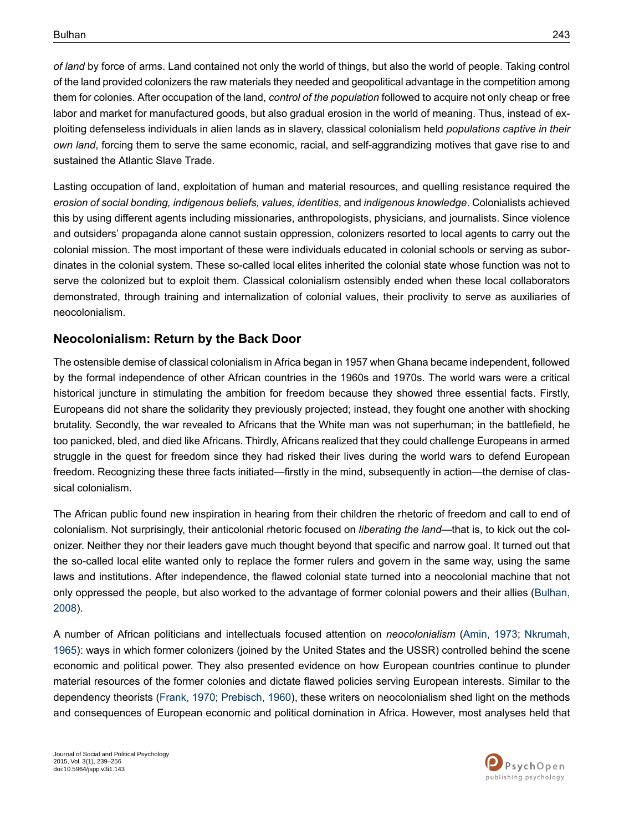*of land* by force of arms. Land contained not only the world of things, but also the world of people. Taking control of the land provided colonizers the raw materials they needed and geopolitical advantage in the competition among them for colonies. After occupation of the land, *control of the population* followed to acquire not only cheap or free labor and market for manufactured goods, but also gradual erosion in the world of meaning. Thus, instead of exploiting defenseless individuals in alien lands as in slavery, classical colonialism held *populations captive in their own land*, forcing them to serve the same economic, racial, and self-aggrandizing motives that gave rise to and sustained the Atlantic Slave Trade.

Lasting occupation of land, exploitation of human and material resources, and quelling resistance required the *erosion of social bonding, indigenous beliefs, values, identities*, and *indigenous knowledge*. Colonialists achieved this by using different agents including missionaries, anthropologists, physicians, and journalists. Since violence and outsiders' propaganda alone cannot sustain oppression, colonizers resorted to local agents to carry out the colonial mission. The most important of these were individuals educated in colonial schools or serving as subordinates in the colonial system. These so-called local elites inherited the colonial state whose function was not to serve the colonized but to exploit them. Classical colonialism ostensibly ended when these local collaborators demonstrated, through training and internalization of colonial values, their proclivity to serve as auxiliaries of neocolonialism.

## **Neocolonialism: Return by the Back Door**

The ostensible demise of classical colonialism in Africa began in 1957 when Ghana became independent, followed by the formal independence of other African countries in the 1960s and 1970s. The world wars were a critical historical juncture in stimulating the ambition for freedom because they showed three essential facts. Firstly, Europeans did not share the solidarity they previously projected; instead, they fought one another with shocking brutality. Secondly, the war revealed to Africans that the White man was not superhuman; in the battlefield, he too panicked, bled, and died like Africans. Thirdly, Africans realized that they could challenge Europeans in armed struggle in the quest for freedom since they had risked their lives during the world wars to defend European freedom. Recognizing these three facts initiated—firstly in the mind, subsequently in action—the demise of classical colonialism.

The African public found new inspiration in hearing from their children the rhetoric of freedom and call to end of colonialism. Not surprisingly, their anticolonial rhetoric focused on *liberating the land*—that is, to kick out the colonizer. Neither they nor their leaders gave much thought beyond that specific and narrow goal. It turned out that the so-called local elite wanted only to replace the former rulers and govern in the same way, using the same laws and institutions. After independence, the flawed colonial state turned into a neocolonial machine that not only oppressed the people, but also worked to the advantage of former colonial powers and their allies [\(Bulhan,](#page-15-1) [2008](#page-15-1)).

A number of African politicians and intellectuals focused attention on *neocolonialism* [\(Amin,](#page-15-5) 1973; [Nkrumah,](#page-16-9) [1965](#page-16-9)): ways in which former colonizers (joined by the United States and the USSR) controlled behind the scene economic and political power. They also presented evidence on how European countries continue to plunder material resources of the former colonies and dictate flawed policies serving European interests. Similar to the dependency theorists [\(Frank,](#page-16-10) 1970; [Prebisch,](#page-16-11) 1960), these writers on neocolonialism shed light on the methods and consequences of European economic and political domination in Africa. However, most analyses held that

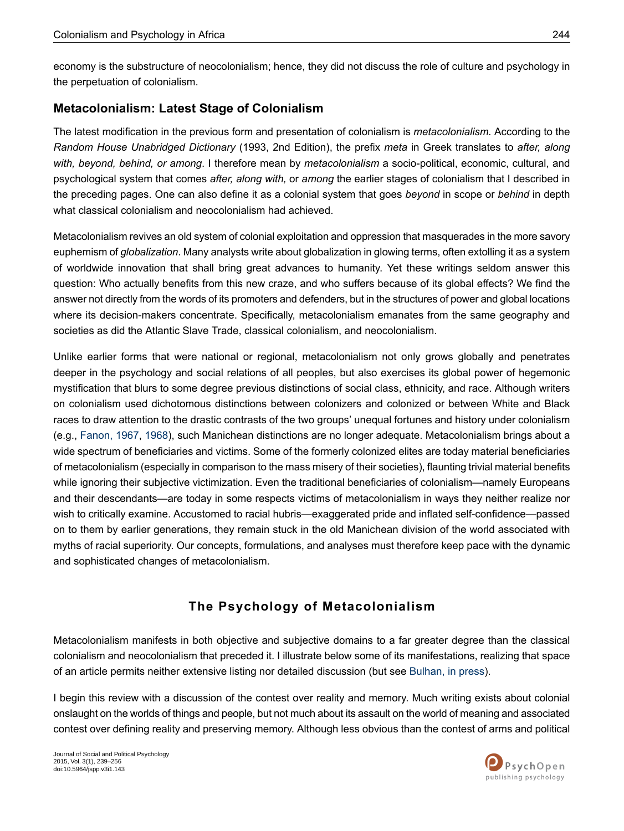economy is the substructure of neocolonialism; hence, they did not discuss the role of culture and psychology in the perpetuation of colonialism.

## **Metacolonialism: Latest Stage of Colonialism**

The latest modification in the previous form and presentation of colonialism is *metacolonialism.* According to the *Random House Unabridged Dictionary* (1993, 2nd Edition), the prefix *meta* in Greek translates to *after, along with, beyond, behind, or among*. I therefore mean by *metacolonialism* a socio-political, economic, cultural, and psychological system that comes *after, along with,* or *among* the earlier stages of colonialism that I described in the preceding pages. One can also define it as a colonial system that goes *beyond* in scope or *behind* in depth what classical colonialism and neocolonialism had achieved.

Metacolonialism revives an old system of colonial exploitation and oppression that masquerades in the more savory euphemism of *globalization*. Many analysts write about globalization in glowing terms, often extolling it as a system of worldwide innovation that shall bring great advances to humanity. Yet these writings seldom answer this question: Who actually benefits from this new craze, and who suffers because of its global effects? We find the answer not directly from the words of its promoters and defenders, but in the structures of power and global locations where its decision-makers concentrate. Specifically, metacolonialism emanates from the same geography and societies as did the Atlantic Slave Trade, classical colonialism, and neocolonialism.

Unlike earlier forms that were national or regional, metacolonialism not only grows globally and penetrates deeper in the psychology and social relations of all peoples, but also exercises its global power of hegemonic mystification that blurs to some degree previous distinctions of social class, ethnicity, and race. Although writers on colonialism used dichotomous distinctions between colonizers and colonized or between White and Black races to draw attention to the drastic contrasts of the two groups' unequal fortunes and history under colonialism (e.g., [Fanon,](#page-16-12) 1967, [1968\)](#page-16-13), such Manichean distinctions are no longer adequate. Metacolonialism brings about a wide spectrum of beneficiaries and victims. Some of the formerly colonized elites are today material beneficiaries of metacolonialism (especially in comparison to the mass misery of their societies), flaunting trivial material benefits while ignoring their subjective victimization. Even the traditional beneficiaries of colonialism—namely Europeans and their descendants—are today in some respects victims of metacolonialism in ways they neither realize nor wish to critically examine. Accustomed to racial hubris—exaggerated pride and inflated self-confidence—passed on to them by earlier generations, they remain stuck in the old Manichean division of the world associated with myths of racial superiority. Our concepts, formulations, and analyses must therefore keep pace with the dynamic and sophisticated changes of metacolonialism.

# **The Psychology of Metacolonialism**

Metacolonialism manifests in both objective and subjective domains to a far greater degree than the classical colonialism and neocolonialism that preceded it. I illustrate below some of its manifestations, realizing that space of an article permits neither extensive listing nor detailed discussion (but see [Bulhan,](#page-15-6) in press).

I begin this review with a discussion of the contest over reality and memory. Much writing exists about colonial onslaught on the worlds of things and people, but not much about its assault on the world of meaning and associated contest over defining reality and preserving memory. Although less obvious than the contest of arms and political

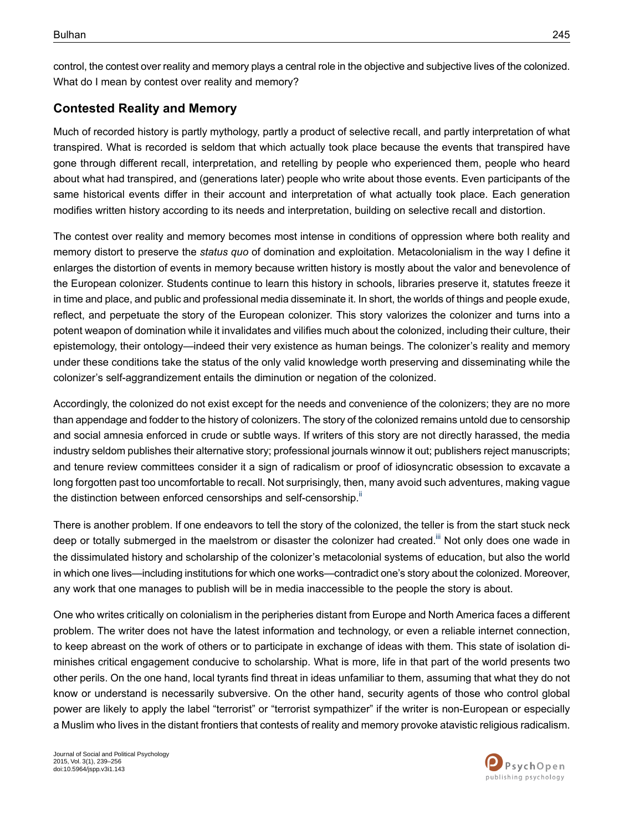control, the contest over reality and memory plays a central role in the objective and subjective lives of the colonized. What do I mean by contest over reality and memory?

## **Contested Reality and Memory**

Much of recorded history is partly mythology, partly a product of selective recall, and partly interpretation of what transpired. What is recorded is seldom that which actually took place because the events that transpired have gone through different recall, interpretation, and retelling by people who experienced them, people who heard about what had transpired, and (generations later) people who write about those events. Even participants of the same historical events differ in their account and interpretation of what actually took place. Each generation modifies written history according to its needs and interpretation, building on selective recall and distortion.

The contest over reality and memory becomes most intense in conditions of oppression where both reality and memory distort to preserve the *status quo* of domination and exploitation. Metacolonialism in the way I define it enlarges the distortion of events in memory because written history is mostly about the valor and benevolence of the European colonizer. Students continue to learn this history in schools, libraries preserve it, statutes freeze it in time and place, and public and professional media disseminate it. In short, the worlds of things and people exude, reflect, and perpetuate the story of the European colonizer. This story valorizes the colonizer and turns into a potent weapon of domination while it invalidates and vilifies much about the colonized, including their culture, their epistemology, their ontology—indeed their very existence as human beings. The colonizer's reality and memory under these conditions take the status of the only valid knowledge worth preserving and disseminating while the colonizer's self-aggrandizement entails the diminution or negation of the colonized.

Accordingly, the colonized do not exist except for the needs and convenience of the colonizers; they are no more than appendage and fodder to the history of colonizers. The story of the colonized remains untold due to censorship and social amnesia enforced in crude or subtle ways. If writers of this story are not directly harassed, the media industry seldom publishes their alternative story; professional journals winnow it out; publishers reject manuscripts; and tenure review committees consider it a sign of radicalism or proof of idiosyncratic obsession to excavate a long forgotten past too uncomfortable to recall. Not surprisingly, then, many avoid such adventures, making vague the distinction between enforced censorships and self-censorship.<sup>[ii](#page-14-1)</sup>

There is another problem. If one endeavors to tell the story of the colonized, the teller is from the start stuck neck deep or totally submerged in the maelstrom or disaster the colonizer had created.<sup>III</sup> Not only does one wade in the dissimulated history and scholarship of the colonizer's metacolonial systems of education, but also the world in which one lives—including institutions for which one works—contradict one's story about the colonized. Moreover, any work that one manages to publish will be in media inaccessible to the people the story is about.

One who writes critically on colonialism in the peripheries distant from Europe and North America faces a different problem. The writer does not have the latest information and technology, or even a reliable internet connection, to keep abreast on the work of others or to participate in exchange of ideas with them. This state of isolation diminishes critical engagement conducive to scholarship. What is more, life in that part of the world presents two other perils. On the one hand, local tyrants find threat in ideas unfamiliar to them, assuming that what they do not know or understand is necessarily subversive. On the other hand, security agents of those who control global power are likely to apply the label "terrorist" or "terrorist sympathizer" if the writer is non-European or especially a Muslim who lives in the distant frontiers that contests of reality and memory provoke atavistic religious radicalism.

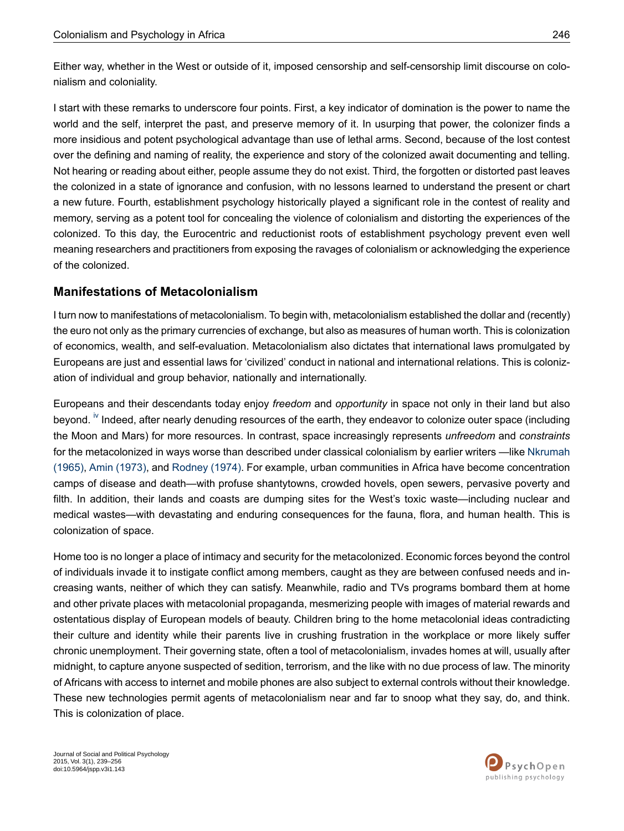Either way, whether in the West or outside of it, imposed censorship and self-censorship limit discourse on colonialism and coloniality.

I start with these remarks to underscore four points. First, a key indicator of domination is the power to name the world and the self, interpret the past, and preserve memory of it. In usurping that power, the colonizer finds a more insidious and potent psychological advantage than use of lethal arms. Second, because of the lost contest over the defining and naming of reality, the experience and story of the colonized await documenting and telling. Not hearing or reading about either, people assume they do not exist. Third, the forgotten or distorted past leaves the colonized in a state of ignorance and confusion, with no lessons learned to understand the present or chart a new future. Fourth, establishment psychology historically played a significant role in the contest of reality and memory, serving as a potent tool for concealing the violence of colonialism and distorting the experiences of the colonized. To this day, the Eurocentric and reductionist roots of establishment psychology prevent even well meaning researchers and practitioners from exposing the ravages of colonialism or acknowledging the experience of the colonized.

#### **Manifestations of Metacolonialism**

I turn now to manifestations of metacolonialism. To begin with, metacolonialism established the dollar and (recently) the euro not only as the primary currencies of exchange, but also as measures of human worth. This is colonization of economics, wealth, and self-evaluation. Metacolonialism also dictates that international laws promulgated by Europeans are just and essential laws for 'civilized' conduct in national and international relations. This is colonization of individual and group behavior, nationally and internationally.

Europeans and their descendants today enjoy *freedom* and *opportunity* in space not only in their land but also beyond. <sup>[iv](#page-15-8)</sup> Indeed, after nearly denuding resources of the earth, they endeavor to colonize outer space (including the Moon and Mars) for more resources. In contrast, space increasingly represents *unfreedom* and *constraints* for the metacolonized in ways worse than described under classical colonialism by earlier writers —like [Nkrumah](#page-16-9) [\(1965\),](#page-16-9) Amin [\(1973\),](#page-15-5) and [Rodney](#page-16-8) (1974). For example, urban communities in Africa have become concentration camps of disease and death—with profuse shantytowns, crowded hovels, open sewers, pervasive poverty and filth. In addition, their lands and coasts are dumping sites for the West's toxic waste—including nuclear and medical wastes—with devastating and enduring consequences for the fauna, flora, and human health. This is colonization of space.

Home too is no longer a place of intimacy and security for the metacolonized. Economic forces beyond the control of individuals invade it to instigate conflict among members, caught as they are between confused needs and increasing wants, neither of which they can satisfy. Meanwhile, radio and TVs programs bombard them at home and other private places with metacolonial propaganda, mesmerizing people with images of material rewards and ostentatious display of European models of beauty. Children bring to the home metacolonial ideas contradicting their culture and identity while their parents live in crushing frustration in the workplace or more likely suffer chronic unemployment. Their governing state, often a tool of metacolonialism, invades homes at will, usually after midnight, to capture anyone suspected of sedition, terrorism, and the like with no due process of law. The minority of Africans with access to internet and mobile phones are also subject to external controls without their knowledge. These new technologies permit agents of metacolonialism near and far to snoop what they say, do, and think. This is colonization of place.

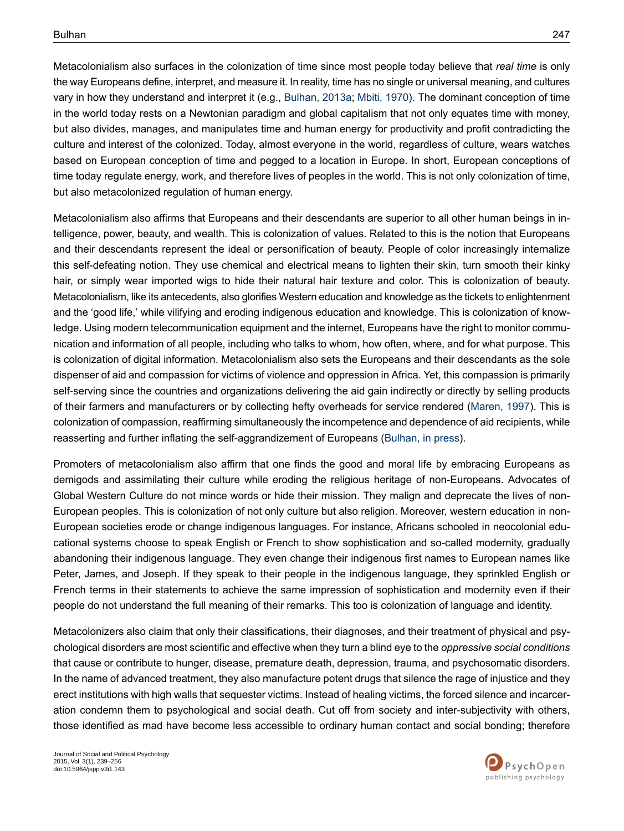Metacolonialism also surfaces in the colonization of time since most people today believe that *real time* is only the way Europeans define, interpret, and measure it. In reality, time has no single or universal meaning, and cultures vary in how they understand and interpret it (e.g., [Bulhan,](#page-15-2) 2013a; [Mbiti,](#page-16-14) 1970). The dominant conception of time in the world today rests on a Newtonian paradigm and global capitalism that not only equates time with money, but also divides, manages, and manipulates time and human energy for productivity and profit contradicting the culture and interest of the colonized. Today, almost everyone in the world, regardless of culture, wears watches based on European conception of time and pegged to a location in Europe. In short, European conceptions of time today regulate energy, work, and therefore lives of peoples in the world. This is not only colonization of time, but also metacolonized regulation of human energy.

Metacolonialism also affirms that Europeans and their descendants are superior to all other human beings in intelligence, power, beauty, and wealth. This is colonization of values. Related to this is the notion that Europeans and their descendants represent the ideal or personification of beauty. People of color increasingly internalize this self-defeating notion. They use chemical and electrical means to lighten their skin, turn smooth their kinky hair, or simply wear imported wigs to hide their natural hair texture and color. This is colonization of beauty. Metacolonialism, like its antecedents, also glorifies Western education and knowledge as the tickets to enlightenment and the 'good life,' while vilifying and eroding indigenous education and knowledge. This is colonization of knowledge. Using modern telecommunication equipment and the internet, Europeans have the right to monitor communication and information of all people, including who talks to whom, how often, where, and for what purpose. This is colonization of digital information. Metacolonialism also sets the Europeans and their descendants as the sole dispenser of aid and compassion for victims of violence and oppression in Africa. Yet, this compassion is primarily self-serving since the countries and organizations delivering the aid gain indirectly or directly by selling products of their farmers and manufacturers or by collecting hefty overheads for service rendered [\(Maren,](#page-16-15) 1997). This is colonization of compassion, reaffirming simultaneously the incompetence and dependence of aid recipients, while reasserting and further inflating the self-aggrandizement of Europeans [\(Bulhan,](#page-15-6) in press).

Promoters of metacolonialism also affirm that one finds the good and moral life by embracing Europeans as demigods and assimilating their culture while eroding the religious heritage of non-Europeans. Advocates of Global Western Culture do not mince words or hide their mission. They malign and deprecate the lives of non-European peoples. This is colonization of not only culture but also religion. Moreover, western education in non-European societies erode or change indigenous languages. For instance, Africans schooled in neocolonial educational systems choose to speak English or French to show sophistication and so-called modernity, gradually abandoning their indigenous language. They even change their indigenous first names to European names like Peter, James, and Joseph. If they speak to their people in the indigenous language, they sprinkled English or French terms in their statements to achieve the same impression of sophistication and modernity even if their people do not understand the full meaning of their remarks. This too is colonization of language and identity.

Metacolonizers also claim that only their classifications, their diagnoses, and their treatment of physical and psychological disorders are most scientific and effective when they turn a blind eye to the *oppressive social conditions* that cause or contribute to hunger, disease, premature death, depression, trauma, and psychosomatic disorders. In the name of advanced treatment, they also manufacture potent drugs that silence the rage of injustice and they erect institutions with high walls that sequester victims. Instead of healing victims, the forced silence and incarceration condemn them to psychological and social death. Cut off from society and inter-subjectivity with others, those identified as mad have become less accessible to ordinary human contact and social bonding; therefore

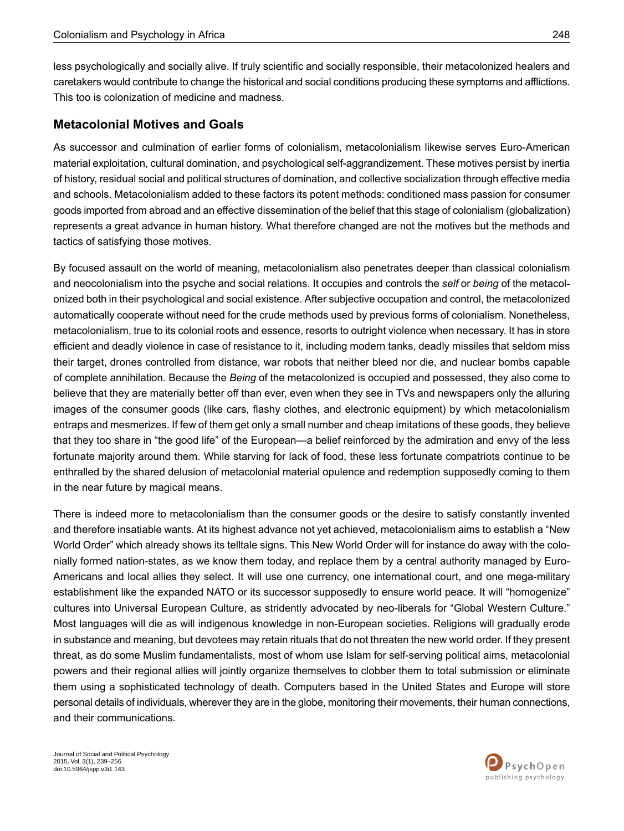less psychologically and socially alive. If truly scientific and socially responsible, their metacolonized healers and caretakers would contribute to change the historical and social conditions producing these symptoms and afflictions. This too is colonization of medicine and madness.

#### **Metacolonial Motives and Goals**

As successor and culmination of earlier forms of colonialism, metacolonialism likewise serves Euro-American material exploitation, cultural domination, and psychological self-aggrandizement. These motives persist by inertia of history, residual social and political structures of domination, and collective socialization through effective media and schools. Metacolonialism added to these factors its potent methods: conditioned mass passion for consumer goods imported from abroad and an effective dissemination of the belief that this stage of colonialism (globalization) represents a great advance in human history. What therefore changed are not the motives but the methods and tactics of satisfying those motives.

By focused assault on the world of meaning, metacolonialism also penetrates deeper than classical colonialism and neocolonialism into the psyche and social relations. It occupies and controls the *self* or *being* of the metacolonized both in their psychological and social existence. After subjective occupation and control, the metacolonized automatically cooperate without need for the crude methods used by previous forms of colonialism. Nonetheless, metacolonialism, true to its colonial roots and essence, resorts to outright violence when necessary. It has in store efficient and deadly violence in case of resistance to it, including modern tanks, deadly missiles that seldom miss their target, drones controlled from distance, war robots that neither bleed nor die, and nuclear bombs capable of complete annihilation. Because the *Being* of the metacolonized is occupied and possessed, they also come to believe that they are materially better off than ever, even when they see in TVs and newspapers only the alluring images of the consumer goods (like cars, flashy clothes, and electronic equipment) by which metacolonialism entraps and mesmerizes. If few of them get only a small number and cheap imitations of these goods, they believe that they too share in "the good life" of the European—a belief reinforced by the admiration and envy of the less fortunate majority around them. While starving for lack of food, these less fortunate compatriots continue to be enthralled by the shared delusion of metacolonial material opulence and redemption supposedly coming to them in the near future by magical means.

There is indeed more to metacolonialism than the consumer goods or the desire to satisfy constantly invented and therefore insatiable wants. At its highest advance not yet achieved, metacolonialism aims to establish a "New World Order" which already shows its telltale signs. This New World Order will for instance do away with the colonially formed nation-states, as we know them today, and replace them by a central authority managed by Euro-Americans and local allies they select. It will use one currency, one international court, and one mega-military establishment like the expanded NATO or its successor supposedly to ensure world peace. It will "homogenize" cultures into Universal European Culture, as stridently advocated by neo-liberals for "Global Western Culture." Most languages will die as will indigenous knowledge in non-European societies. Religions will gradually erode in substance and meaning, but devotees may retain rituals that do not threaten the new world order. If they present threat, as do some Muslim fundamentalists, most of whom use Islam for self-serving political aims, metacolonial powers and their regional allies will jointly organize themselves to clobber them to total submission or eliminate them using a sophisticated technology of death. Computers based in the United States and Europe will store personal details of individuals, wherever they are in the globe, monitoring their movements, their human connections, and their communications.

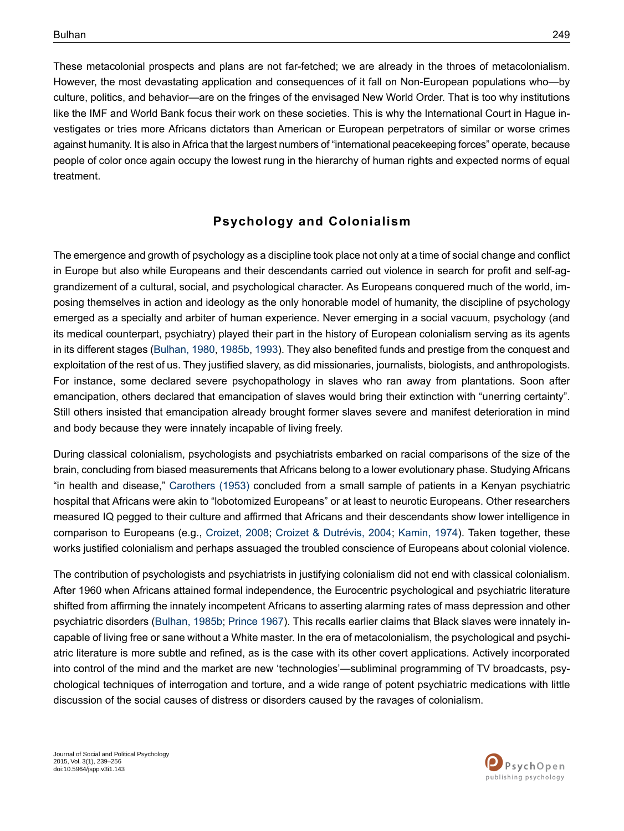These metacolonial prospects and plans are not far-fetched; we are already in the throes of metacolonialism. However, the most devastating application and consequences of it fall on Non-European populations who—by culture, politics, and behavior—are on the fringes of the envisaged New World Order. That is too why institutions like the IMF and World Bank focus their work on these societies. This is why the International Court in Hague investigates or tries more Africans dictators than American or European perpetrators of similar or worse crimes against humanity. It is also in Africa that the largest numbers of "international peacekeeping forces" operate, because people of color once again occupy the lowest rung in the hierarchy of human rights and expected norms of equal treatment.

## **Psychology and Colonialism**

The emergence and growth of psychology as a discipline took place not only at a time of social change and conflict in Europe but also while Europeans and their descendants carried out violence in search for profit and self-aggrandizement of a cultural, social, and psychological character. As Europeans conquered much of the world, imposing themselves in action and ideology as the only honorable model of humanity, the discipline of psychology emerged as a specialty and arbiter of human experience. Never emerging in a social vacuum, psychology (and its medical counterpart, psychiatry) played their part in the history of European colonialism serving as its agents in its different stages ([Bulhan,](#page-15-9) 1980, [1985b](#page-15-0), [1993](#page-15-10)). They also benefited funds and prestige from the conquest and exploitation of the rest of us. They justified slavery, as did missionaries, journalists, biologists, and anthropologists. For instance, some declared severe psychopathology in slaves who ran away from plantations. Soon after emancipation, others declared that emancipation of slaves would bring their extinction with "unerring certainty". Still others insisted that emancipation already brought former slaves severe and manifest deterioration in mind and body because they were innately incapable of living freely.

During classical colonialism, psychologists and psychiatrists embarked on racial comparisons of the size of the brain, concluding from biased measurements that Africans belong to a lower evolutionary phase. Studying Africans "in health and disease," [Carothers](#page-16-16) (1953) concluded from a small sample of patients in a Kenyan psychiatric hospital that Africans were akin to "lobotomized Europeans" or at least to neurotic Europeans. Other researchers measured IQ pegged to their culture and affirmed that Africans and their descendants show lower intelligence in comparison to Europeans (e.g., [Croizet,](#page-16-17) 2008; Croizet & [Dutrévis,](#page-16-18) 2004; [Kamin,](#page-16-19) 1974). Taken together, these works justified colonialism and perhaps assuaged the troubled conscience of Europeans about colonial violence.

The contribution of psychologists and psychiatrists in justifying colonialism did not end with classical colonialism. After 1960 when Africans attained formal independence, the Eurocentric psychological and psychiatric literature shifted from affirming the innately incompetent Africans to asserting alarming rates of mass depression and other psychiatric disorders [\(Bulhan,](#page-15-0) 1985b; [Prince](#page-16-20) 1967). This recalls earlier claims that Black slaves were innately incapable of living free or sane without a White master. In the era of metacolonialism, the psychological and psychiatric literature is more subtle and refined, as is the case with its other covert applications. Actively incorporated into control of the mind and the market are new 'technologies'—subliminal programming of TV broadcasts, psychological techniques of interrogation and torture, and a wide range of potent psychiatric medications with little discussion of the social causes of distress or disorders caused by the ravages of colonialism.

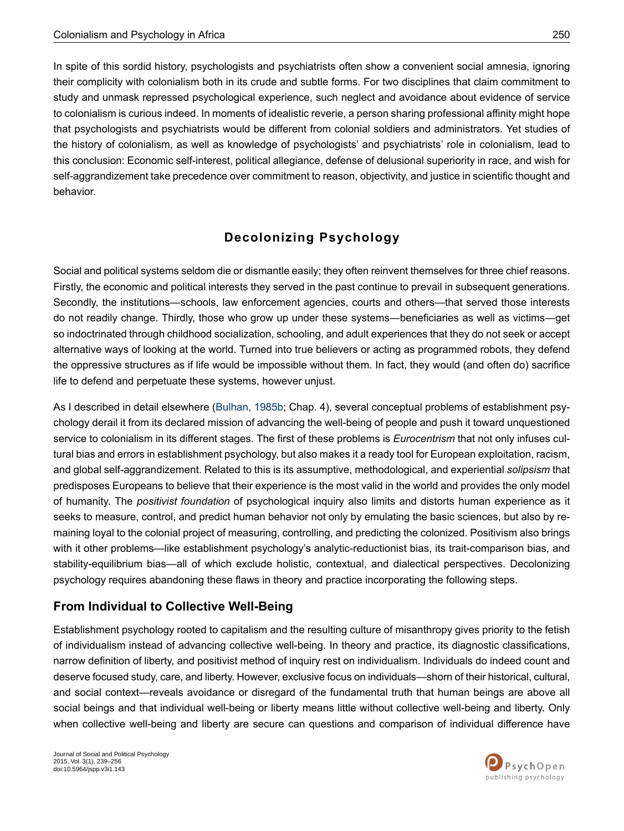In spite of this sordid history, psychologists and psychiatrists often show a convenient social amnesia, ignoring their complicity with colonialism both in its crude and subtle forms. For two disciplines that claim commitment to study and unmask repressed psychological experience, such neglect and avoidance about evidence of service to colonialism is curious indeed. In moments of idealistic reverie, a person sharing professional affinity might hope that psychologists and psychiatrists would be different from colonial soldiers and administrators. Yet studies of the history of colonialism, as well as knowledge of psychologists' and psychiatrists' role in colonialism, lead to this conclusion: Economic self-interest, political allegiance, defense of delusional superiority in race, and wish for self-aggrandizement take precedence over commitment to reason, objectivity, and justice in scientific thought and behavior.

# **Decolonizing Psychology**

Social and political systems seldom die or dismantle easily; they often reinvent themselves for three chief reasons. Firstly, the economic and political interests they served in the past continue to prevail in subsequent generations. Secondly, the institutions—schools, law enforcement agencies, courts and others—that served those interests do not readily change. Thirdly, those who grow up under these systems―beneficiaries as well as victims―get so indoctrinated through childhood socialization, schooling, and adult experiences that they do not seek or accept alternative ways of looking at the world. Turned into true believers or acting as programmed robots, they defend the oppressive structures as if life would be impossible without them. In fact, they would (and often do) sacrifice life to defend and perpetuate these systems, however unjust.

As I described in detail elsewhere ([Bulhan,](#page-15-0) 1985b; Chap. 4), several conceptual problems of establishment psychology derail it from its declared mission of advancing the well-being of people and push it toward unquestioned service to colonialism in its different stages. The first of these problems is *Eurocentrism* that not only infuses cultural bias and errors in establishment psychology, but also makes it a ready tool for European exploitation, racism, and global self-aggrandizement. Related to this is its assumptive, methodological, and experiential *solipsism* that predisposes Europeans to believe that their experience is the most valid in the world and provides the only model of humanity. The *positivist foundation* of psychological inquiry also limits and distorts human experience as it seeks to measure, control, and predict human behavior not only by emulating the basic sciences, but also by remaining loyal to the colonial project of measuring, controlling, and predicting the colonized. Positivism also brings with it other problems—like establishment psychology's analytic-reductionist bias, its trait-comparison bias, and stability-equilibrium bias—all of which exclude holistic, contextual, and dialectical perspectives. Decolonizing psychology requires abandoning these flaws in theory and practice incorporating the following steps.

## **From Individual to Collective Well-Being**

Establishment psychology rooted to capitalism and the resulting culture of misanthropy gives priority to the fetish of individualism instead of advancing collective well-being. In theory and practice, its diagnostic classifications, narrow definition of liberty, and positivist method of inquiry rest on individualism. Individuals do indeed count and deserve focused study, care, and liberty. However, exclusive focus on individuals—shorn of their historical, cultural, and social context—reveals avoidance or disregard of the fundamental truth that human beings are above all social beings and that individual well-being or liberty means little without collective well-being and liberty. Only when collective well-being and liberty are secure can questions and comparison of individual difference have

Journal of Social and Political Psychology 2015, Vol. 3(1), 239–256 doi:10.5964/jspp.v3i1.143

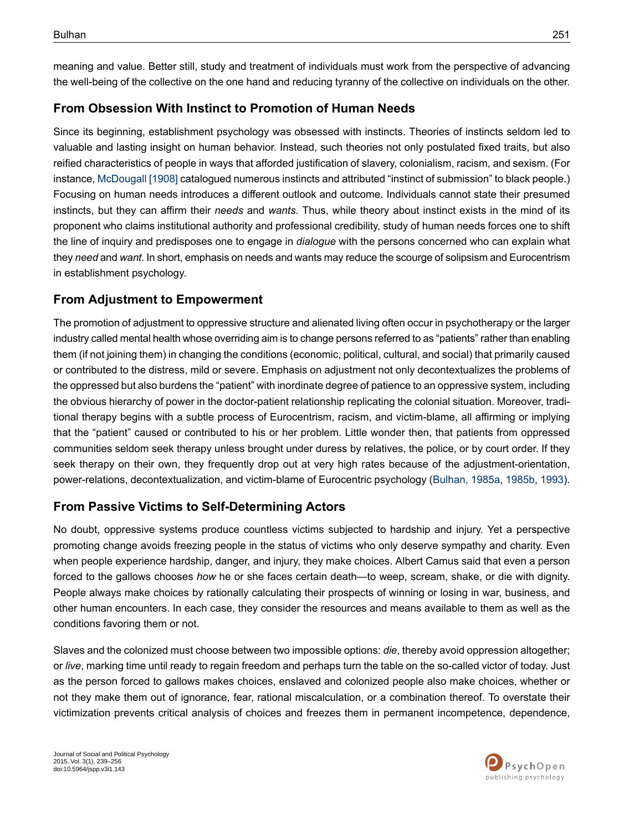meaning and value. Better still, study and treatment of individuals must work from the perspective of advancing the well-being of the collective on the one hand and reducing tyranny of the collective on individuals on the other.

# **From Obsession With Instinct to Promotion of Human Needs**

Since its beginning, establishment psychology was obsessed with instincts. Theories of instincts seldom led to valuable and lasting insight on human behavior. Instead, such theories not only postulated fixed traits, but also reified characteristics of people in ways that afforded justification of slavery, colonialism, racism, and sexism. (For instance, [McDougall](#page-16-21) [1908] catalogued numerous instincts and attributed "instinct of submission" to black people.) Focusing on human needs introduces a different outlook and outcome. Individuals cannot state their presumed instincts, but they can affirm their *needs* and *wants*. Thus, while theory about instinct exists in the mind of its proponent who claims institutional authority and professional credibility, study of human needs forces one to shift the line of inquiry and predisposes one to engage in *dialogue* with the persons concerned who can explain what they *need* and *want*. In short, emphasis on needs and wants may reduce the scourge of solipsism and Eurocentrism in establishment psychology.

## **From Adjustment to Empowerment**

The promotion of adjustment to oppressive structure and alienated living often occur in psychotherapy or the larger industry called mental health whose overriding aim is to change persons referred to as "patients" rather than enabling them (if not joining them) in changing the conditions (economic, political, cultural, and social) that primarily caused or contributed to the distress, mild or severe. Emphasis on adjustment not only decontextualizes the problems of the oppressed but also burdens the "patient" with inordinate degree of patience to an oppressive system, including the obvious hierarchy of power in the doctor-patient relationship replicating the colonial situation. Moreover, traditional therapy begins with a subtle process of Eurocentrism, racism, and victim-blame, all affirming or implying that the "patient" caused or contributed to his or her problem. Little wonder then, that patients from oppressed communities seldom seek therapy unless brought under duress by relatives, the police, or by court order. If they seek therapy on their own, they frequently drop out at very high rates because of the adjustment-orientation, power-relations, decontextualization, and victim-blame of Eurocentric psychology [\(Bulhan,](#page-15-0) 1985a, [1985b,](#page-15-11) [1993](#page-15-10)).

## **From Passive Victims to Self-Determining Actors**

No doubt, oppressive systems produce countless victims subjected to hardship and injury. Yet a perspective promoting change avoids freezing people in the status of victims who only deserve sympathy and charity. Even when people experience hardship, danger, and injury, they make choices. Albert Camus said that even a person forced to the gallows chooses *how* he or she faces certain death—to weep, scream, shake, or die with dignity. People always make choices by rationally calculating their prospects of winning or losing in war, business, and other human encounters. In each case, they consider the resources and means available to them as well as the conditions favoring them or not.

Slaves and the colonized must choose between two impossible options: *die*, thereby avoid oppression altogether; or *live*, marking time until ready to regain freedom and perhaps turn the table on the so-called victor of today. Just as the person forced to gallows makes choices, enslaved and colonized people also make choices, whether or not they make them out of ignorance, fear, rational miscalculation, or a combination thereof. To overstate their victimization prevents critical analysis of choices and freezes them in permanent incompetence, dependence,

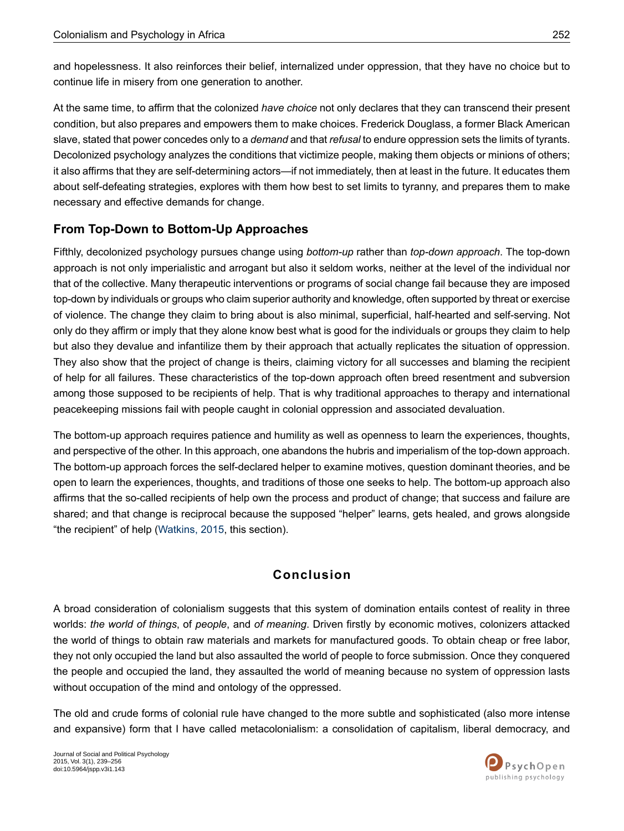and hopelessness. It also reinforces their belief, internalized under oppression, that they have no choice but to continue life in misery from one generation to another.

At the same time, to affirm that the colonized *have choice* not only declares that they can transcend their present condition, but also prepares and empowers them to make choices. Frederick Douglass, a former Black American slave, stated that power concedes only to a *demand* and that *refusal* to endure oppression sets the limits of tyrants. Decolonized psychology analyzes the conditions that victimize people, making them objects or minions of others; it also affirms that they are self-determining actors—if not immediately, then at least in the future. It educates them about self-defeating strategies, explores with them how best to set limits to tyranny, and prepares them to make necessary and effective demands for change.

# **From Top-Down to Bottom-Up Approaches**

Fifthly, decolonized psychology pursues change using *bottom-up* rather than *top-down approach*. The top-down approach is not only imperialistic and arrogant but also it seldom works, neither at the level of the individual nor that of the collective. Many therapeutic interventions or programs of social change fail because they are imposed top-down by individuals or groups who claim superior authority and knowledge, often supported by threat or exercise of violence. The change they claim to bring about is also minimal, superficial, half-hearted and self-serving. Not only do they affirm or imply that they alone know best what is good for the individuals or groups they claim to help but also they devalue and infantilize them by their approach that actually replicates the situation of oppression. They also show that the project of change is theirs, claiming victory for all successes and blaming the recipient of help for all failures. These characteristics of the top-down approach often breed resentment and subversion among those supposed to be recipients of help. That is why traditional approaches to therapy and international peacekeeping missions fail with people caught in colonial oppression and associated devaluation.

The bottom-up approach requires patience and humility as well as openness to learn the experiences, thoughts, and perspective of the other. In this approach, one abandons the hubris and imperialism of the top-down approach. The bottom-up approach forces the self-declared helper to examine motives, question dominant theories, and be open to learn the experiences, thoughts, and traditions of those one seeks to help. The bottom-up approach also affirms that the so-called recipients of help own the process and product of change; that success and failure are shared; and that change is reciprocal because the supposed "helper" learns, gets healed, and grows alongside "the recipient" of help ([Watkins,](#page-17-1) 2015, this section).

# **Conclusion**

A broad consideration of colonialism suggests that this system of domination entails contest of reality in three worlds: *the world of things*, of *people*, and *of meaning*. Driven firstly by economic motives, colonizers attacked the world of things to obtain raw materials and markets for manufactured goods. To obtain cheap or free labor, they not only occupied the land but also assaulted the world of people to force submission. Once they conquered the people and occupied the land, they assaulted the world of meaning because no system of oppression lasts without occupation of the mind and ontology of the oppressed.

The old and crude forms of colonial rule have changed to the more subtle and sophisticated (also more intense and expansive) form that I have called metacolonialism: a consolidation of capitalism, liberal democracy, and

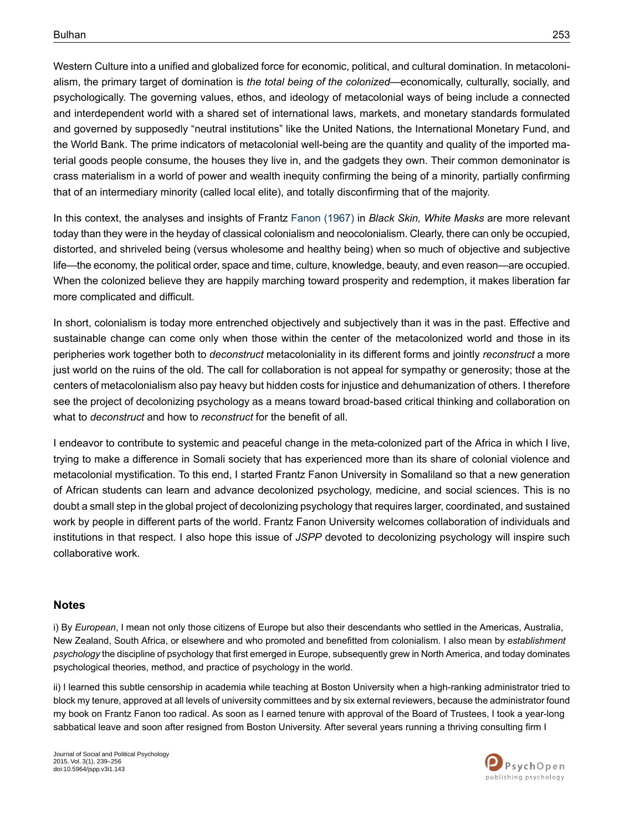Western Culture into a unified and globalized force for economic, political, and cultural domination. In metacolonialism, the primary target of domination is *the total being of the colonized*—economically, culturally, socially, and psychologically. The governing values, ethos, and ideology of metacolonial ways of being include a connected and interdependent world with a shared set of international laws, markets, and monetary standards formulated and governed by supposedly "neutral institutions" like the United Nations, the International Monetary Fund, and the World Bank. The prime indicators of metacolonial well-being are the quantity and quality of the imported material goods people consume, the houses they live in, and the gadgets they own. Their common demoninator is crass materialism in a world of power and wealth inequity confirming the being of a minority, partially confirming that of an intermediary minority (called local elite), and totally disconfirming that of the majority.

In this context, the analyses and insights of Frantz Fanon [\(1967\)](#page-16-12) in *Black Skin, White Masks* are more relevant today than they were in the heyday of classical colonialism and neocolonialism. Clearly, there can only be occupied, distorted, and shriveled being (versus wholesome and healthy being) when so much of objective and subjective life—the economy, the political order, space and time, culture, knowledge, beauty, and even reason—are occupied. When the colonized believe they are happily marching toward prosperity and redemption, it makes liberation far more complicated and difficult.

In short, colonialism is today more entrenched objectively and subjectively than it was in the past. Effective and sustainable change can come only when those within the center of the metacolonized world and those in its peripheries work together both to *deconstruct* metacoloniality in its different forms and jointly *reconstruct* a more just world on the ruins of the old. The call for collaboration is not appeal for sympathy or generosity; those at the centers of metacolonialism also pay heavy but hidden costs for injustice and dehumanization of others. I therefore see the project of decolonizing psychology as a means toward broad-based critical thinking and collaboration on what to *deconstruct* and how to *reconstruct* for the benefit of all.

I endeavor to contribute to systemic and peaceful change in the meta-colonized part of the Africa in which I live, trying to make a difference in Somali society that has experienced more than its share of colonial violence and metacolonial mystification. To this end, I started Frantz Fanon University in Somaliland so that a new generation of African students can learn and advance decolonized psychology, medicine, and social sciences. This is no doubt a small step in the global project of decolonizing psychology that requires larger, coordinated, and sustained work by people in different parts of the world. Frantz Fanon University welcomes collaboration of individuals and institutions in that respect. I also hope this issue of *JSPP* devoted to decolonizing psychology will inspire such collaborative work.

#### <span id="page-14-0"></span>**Notes**

<span id="page-14-1"></span>i) By *European*, I mean not only those citizens of Europe but also their descendants who settled in the Americas, Australia, New Zealand, South Africa, or elsewhere and who promoted and benefitted from colonialism. I also mean by *establishment psychology* the discipline of psychology that first emerged in Europe, subsequently grew in North America, and today dominates psychological theories, method, and practice of psychology in the world.

ii) I learned this subtle censorship in academia while teaching at Boston University when a high-ranking administrator tried to block my tenure, approved at all levels of university committees and by six external reviewers, because the administrator found my book on Frantz Fanon too radical. As soon as I earned tenure with approval of the Board of Trustees, I took a year-long sabbatical leave and soon after resigned from Boston University. After several years running a thriving consulting firm I

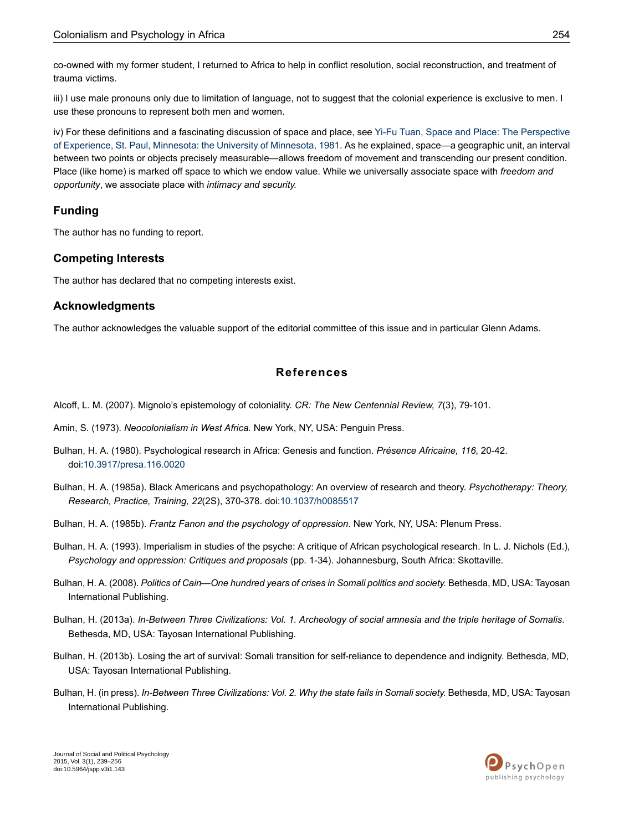co-owned with my former student, I returned to Africa to help in conflict resolution, social reconstruction, and treatment of trauma victims.

<span id="page-15-7"></span>iii) I use male pronouns only due to limitation of language, not to suggest that the colonial experience is exclusive to men. I use these pronouns to represent both men and women.

<span id="page-15-8"></span>iv) For these definitions and a fascinating discussion of space and place, see Yi-Fu Tuan, Space and Place: The [Perspective](#page-17-2) of [Experience,](#page-17-2) St. Paul, Minnesota: the University of Minnesota, 1981. As he explained, space—a geographic unit, an interval between two points or objects precisely measurable—allows freedom of movement and transcending our present condition. Place (like home) is marked off space to which we endow value. While we universally associate space with *freedom and opportunity*, we associate place with *intimacy and security.*

#### **Funding**

The author has no funding to report.

#### **Competing Interests**

The author has declared that no competing interests exist.

#### **Acknowledgments**

<span id="page-15-4"></span>The author acknowledges the valuable support of the editorial committee of this issue and in particular Glenn Adams.

#### **References**

- <span id="page-15-9"></span><span id="page-15-5"></span>Alcoff, L. M. (2007). Mignolo's epistemology of coloniality. *CR: The New Centennial Review, 7*(3), 79-101.
- <span id="page-15-11"></span>Amin, S. (1973). *Neocolonialism in West Africa.* New York, NY, USA: Penguin Press.
- Bulhan, H. A. (1980). Psychological research in Africa: Genesis and function. *Présence Africaine, 116*, 20-42. doi:[10.3917/presa.116.0020](http://dx.doi.org/10.3917/presa.116.0020)
- <span id="page-15-10"></span><span id="page-15-0"></span>Bulhan, H. A. (1985a). Black Americans and psychopathology: An overview of research and theory. *Psychotherapy: Theory, Research, Practice, Training, 22*(2S), 370-378. doi[:10.1037/h0085517](http://dx.doi.org/10.1037/h0085517)
- <span id="page-15-1"></span>Bulhan, H. A. (1985b). *Frantz Fanon and the psychology of oppression*. New York, NY, USA: Plenum Press.
- <span id="page-15-2"></span>Bulhan, H. A. (1993). Imperialism in studies of the psyche: A critique of African psychological research. In L. J. Nichols (Ed.), *Psychology and oppression: Critiques and proposals* (pp. 1-34). Johannesburg, South Africa: Skottaville.
- <span id="page-15-3"></span>Bulhan, H. A. (2008). *Politics of Cain—One hundred years of crises in Somali politics and society.* Bethesda, MD, USA: Tayosan International Publishing.
- <span id="page-15-6"></span>Bulhan, H. (2013a). In-Between Three Civilizations: Vol. 1. Archeology of social amnesia and the triple heritage of Somalis. Bethesda, MD, USA: Tayosan International Publishing.
- Bulhan, H. (2013b). Losing the art of survival: Somali transition for self-reliance to dependence and indignity. Bethesda, MD, USA: Tayosan International Publishing.
- Bulhan, H. (in press). *In-Between Three Civilizations: Vol. 2. Why the state fails in Somali society.* Bethesda, MD, USA: Tayosan International Publishing.

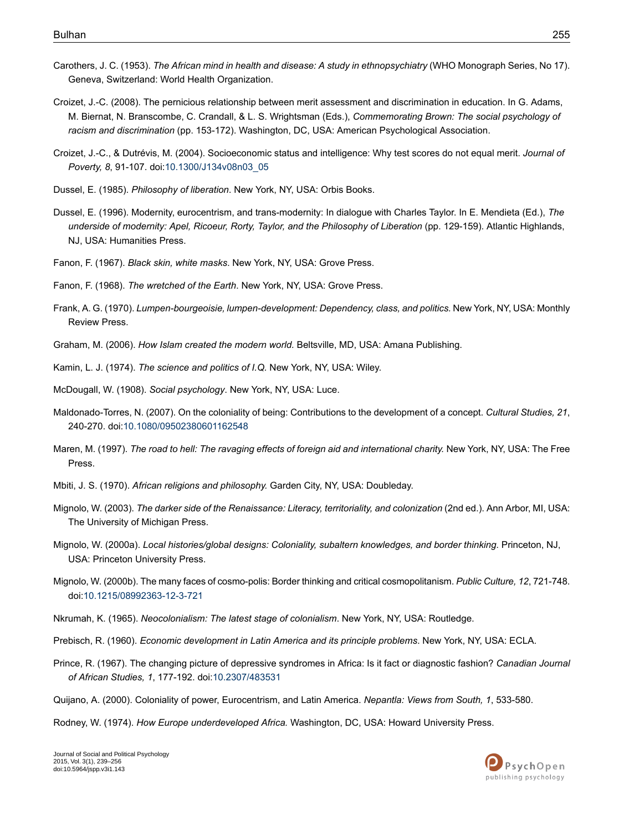- <span id="page-16-16"></span>Carothers, J. C. (1953). *The African mind in health and disease: A study in ethnopsychiatry* (WHO Monograph Series, No 17). Geneva, Switzerland: World Health Organization.
- <span id="page-16-17"></span>Croizet, J.-C. (2008). The pernicious relationship between merit assessment and discrimination in education. In G. Adams, M. Biernat, N. Branscombe, C. Crandall, & L. S. Wrightsman (Eds.), *Commemorating Brown: The social psychology of racism and discrimination* (pp. 153-172). Washington, DC, USA: American Psychological Association.
- <span id="page-16-18"></span><span id="page-16-1"></span>Croizet, J.-C., & Dutrévis, M. (2004). Socioeconomic status and intelligence: Why test scores do not equal merit. *Journal of Poverty, 8*, 91-107. doi:[10.1300/J134v08n03\\_05](http://dx.doi.org/10.1300/J134v08n03_05)
- <span id="page-16-2"></span>Dussel, E. (1985). *Philosophy of liberation*. New York, NY, USA: Orbis Books.
- <span id="page-16-12"></span>Dussel, E. (1996). Modernity, eurocentrism, and trans-modernity: In dialogue with Charles Taylor. In E. Mendieta (Ed.), *The underside of modernity: Apel, Ricoeur, Rorty, Taylor, and the Philosophy of Liberation* (pp. 129-159). Atlantic Highlands, NJ, USA: Humanities Press.
- <span id="page-16-13"></span>Fanon, F. (1967). *Black skin, white masks*. New York, NY, USA: Grove Press.
- <span id="page-16-10"></span>Fanon, F. (1968). *The wretched of the Earth*. New York, NY, USA: Grove Press.
- <span id="page-16-7"></span>Frank, A. G. (1970). *Lumpen-bourgeoisie, lumpen-development: Dependency, class, and politics.* New York, NY, USA: Monthly Review Press.
- <span id="page-16-21"></span><span id="page-16-19"></span>Graham, M. (2006). *How Islam created the modern world.* Beltsville, MD, USA: Amana Publishing.
- <span id="page-16-6"></span>Kamin, L. J. (1974). *The science and politics of I.Q.* New York, NY, USA: Wiley.
- McDougall, W. (1908). *Social psychology*. New York, NY, USA: Luce.
- <span id="page-16-15"></span>Maldonado-Torres, N. (2007). On the coloniality of being: Contributions to the development of a concept. *Cultural Studies, 21*, 240-270. doi:[10.1080/09502380601162548](http://dx.doi.org/10.1080/09502380601162548)
- <span id="page-16-14"></span><span id="page-16-5"></span>Maren, M. (1997). *The road to hell: The ravaging effects of foreign aid and international charity.* New York, NY, USA: The Free Press.
- <span id="page-16-3"></span>Mbiti, J. S. (1970). *African religions and philosophy.* Garden City, NY, USA: Doubleday.
- <span id="page-16-4"></span>Mignolo, W. (2003). *The darker side of the Renaissance: Literacy, territoriality, and colonization* (2nd ed.). Ann Arbor, MI, USA: The University of Michigan Press.
- <span id="page-16-9"></span>Mignolo, W. (2000a). *Local histories/global designs: Coloniality, subaltern knowledges, and border thinking*. Princeton, NJ, USA: Princeton University Press.
- <span id="page-16-20"></span><span id="page-16-11"></span>Mignolo, W. (2000b). The many faces of cosmo-polis: Border thinking and critical cosmopolitanism. *Public Culture, 12*, 721-748. doi:[10.1215/08992363-12-3-721](http://dx.doi.org/10.1215/08992363-12-3-721)
- <span id="page-16-0"></span>Nkrumah, K. (1965). *Neocolonialism: The latest stage of colonialism*. New York, NY, USA: Routledge.
- <span id="page-16-8"></span>Prebisch, R. (1960). *Economic development in Latin America and its principle problems*. New York, NY, USA: ECLA.
- Prince, R. (1967). The changing picture of depressive syndromes in Africa: Is it fact or diagnostic fashion? *Canadian Journal of African Studies, 1*, 177-192. doi[:10.2307/483531](http://dx.doi.org/10.2307/483531)
- Quijano, A. (2000). Coloniality of power, Eurocentrism, and Latin America. *Nepantla: Views from South, 1*, 533-580.
- Rodney, W. (1974). *How Europe underdeveloped Africa.* Washington, DC, USA: Howard University Press.